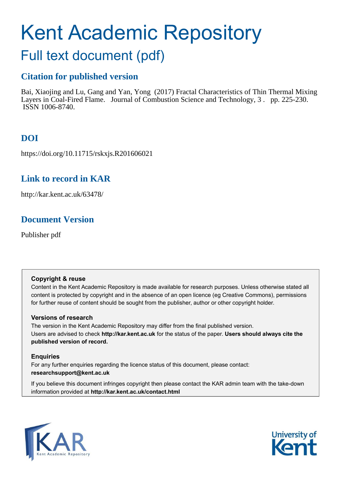# Kent Academic Repository

## Full text document (pdf)

### **Citation for published version**

Bai, Xiaojing and Lu, Gang and Yan, Yong (2017) Fractal Characteristics of Thin Thermal Mixing Layers in Coal-Fired Flame. Journal of Combustion Science and Technology, 3 . pp. 225-230. ISSN 1006-8740.

### **DOI**

https://doi.org/10.11715/rskxjs.R201606021

### **Link to record in KAR**

http://kar.kent.ac.uk/63478/

### **Document Version**

Publisher pdf

### **Copyright & reuse**

Content in the Kent Academic Repository is made available for research purposes. Unless otherwise stated all content is protected by copyright and in the absence of an open licence (eg Creative Commons), permissions for further reuse of content should be sought from the publisher, author or other copyright holder.

### **Versions of research**

The version in the Kent Academic Repository may differ from the final published version. Users are advised to check **http://kar.kent.ac.uk** for the status of the paper. **Users should always cite the published version of record.**

### **Enquiries**

For any further enquiries regarding the licence status of this document, please contact: **researchsupport@kent.ac.uk**

If you believe this document infringes copyright then please contact the KAR admin team with the take-down information provided at **http://kar.kent.ac.uk/contact.html**



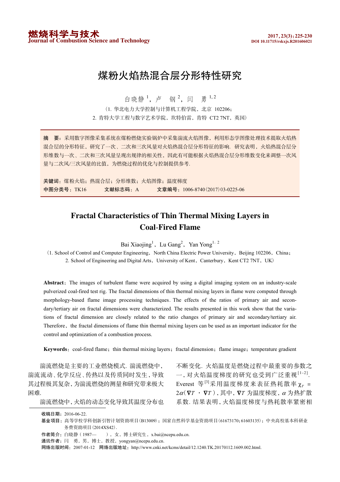### 煤粉火焰热混合层分形特性研究

白晓静<sup>1</sup>, 卢 钢<sup>2</sup>, 闫 勇<sup>1,2</sup>

(1. 华北电力大学控制与计算机工程学院, 北京 102206; 2. 肯特大学工程与数字艺术学院, 坎特伯雷, 肯特 CT2 7NT, 英国)

摘 要: 采用数字图像采集系统在煤粉燃烧实验锅炉中采集湍流火焰图像, 利用形态学图像处理技术提取火焰热 混合层的分形特征,研究了一次、二次和三次风量对火焰热混合层分形特征的影响. 研究表明, 火焰热混合层分 形维数与一次、二次和三次风量呈现出规律的相关性,因此有可能根据火焰热混合层分形维数变化来调整一次风 量与二次风/三次风量的比值,为燃烧过程的优化与控制提供参考.

关键词: 煤粉火焰; 热混合层; 分形维数; 火焰图像; 温度梯度 '()\*+TK16!!!!!!! ,-./0"A ,12+1006-8740!2017"\$3-0225-06

### **Fractal Characteristics of Thin Thermal Mixing Layers in Coal-Fired Flame**

Bai Xiaojing<sup>1</sup>, Lu Gang<sup>2</sup>, Yan Yong<sup>1, 2</sup>

(1. School of Control and Computer Engineering, North China Electric Power University, Beijing 102206, China; 2. School of Engineering and Digital Arts, University of Kent, Canterbury, Kent CT2 7NT, UK)

Abstract: The images of turbulent flame were acquired by using a digital imaging system on an industry-scale pulverized coal-fired test rig. The fractal dimensions of thin thermal mixing layers in flame were computed through morphology-based flame image processing techniques. The effects of the ratios of primary air and secondary/tertiary air on fractal dimensions were characterized. The results presented in this work show that the variations of fractal dimension are closely related to the ratio changes of primary air and secondary/tertiary air. Therefore, the fractal dimensions of flame thin thermal mixing layers can be used as an important indicator for the control and optimization of a combustion process.

Keywords: coal-fired flame; thin thermal mixing layers; fractal dimension; flame image; temperature gradient

湍流燃烧是主要的工业燃烧模式, 湍流燃烧中, 湍流流动、化学反应、传热以及传质同时发生,导致 其过程极其复杂,为湍流燃烧的测量和研究带来极大 闲难.

湍流燃烧中,火焰的动态变化导致其温度分布也

不断变化. 火焰温度是燃烧过程中最重要的参数之 一, 对火焰温度梯度的研究也受到广泛重视 $[1-2]$ . Everest 等 $[3]$ 采用温度梯度来表征热耗散率 χ<sub>τ</sub> =  $2\alpha$ ( $\nabla T \cdot \nabla T$ ), 其中,  $\nabla T$  为温度梯度,  $\alpha$  为热扩散 系数. 结果表明, 火焰温度梯度与热耗散率紧密相

收稿日期: 2016-06-22.

基金项目: 高等学校学科创新引智计划资助项目(B13009); 国家自然科学基金资助项目(61673170;61603135); 中央高校基本科研业 务费资助项目(2014XS42).

作者简介: 白晓静 (1987— ), 女, 博士研究生, x.bai@ncepu.edu.cn.

通讯作者: 闫 勇, 男, 博士, 教授, yongyan@ncepu.edu.cn.

网络出版时间: 2007-01-12 网络出版地址: http://www.cnki.net/kcms/detail/12.1240.TK.20170112.1609.002.html.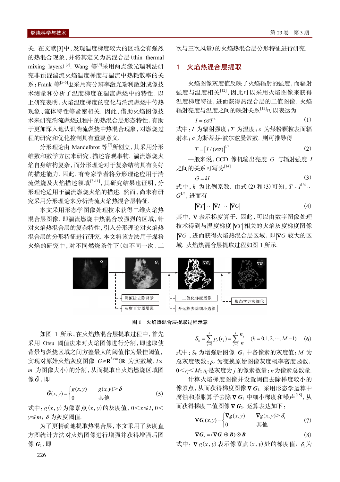关. 在文献[3]中,发现温度梯度较大的区域会有强烈 的热混合现象,并将其定义为热混合层(thin thermal mixing layers)<sup>[3]</sup>. Wang 等<sup>[4]</sup>采用两点激光瑞利法研 究非预混湍流火焰温度梯度与湍流中热耗散率的关 系; Frank 等<sup>[5-6]</sup>也采用高分辨率激光瑞利散射成像技 术测量和分析了温度梯度在湍流燃烧中的特性. 以 上研究表明,火焰温度梯度的变化与湍流燃烧中传热 现象、流体特性等紧密相关. 因此, 借助火焰图像技 术来研究湍流燃烧过程中的热混合层形态特性,有助 于更加深入地认识湍流燃烧中热混合现象,对燃烧过 程的研究和优化控制具有重要意义.

分形理论由 Mandelbrot 等[7]所创立, 其采用分形 维数和数学方法来研究、描述客观事物. 湍流燃烧火 焰自身结构复杂,而分形理论对于复杂结构具有良好 的描述能力,因此,有专家学者将分形理论应用于湍 流燃烧及火焰描述领域[8-11],其研究结果也证明,分 形理论适用于湍流燃烧火焰的描述, 然而, 尚未有研 室采用分形理论来分析湍流火焰执混合层特征.

本文采用形态学图像处理技术获得二维火焰热 混合层图像,即湍流燃烧中热混合较强烈的区域,针 对火焰热混合层的复杂特性,引入分形理论对火焰热 混合层的分形特征进行研究. 本文将该方法用于煤粉 火焰的研究中,对不同燃烧条件下(如不同一次、二 次与三次风量)的火焰热混合层分形特征进行研究。

#### 1 火焰热混合层提取

火焰图像灰度值反映了火焰辐射的强度,而辐射 强度与温度相关[12],因此可以采用火焰图像来获得 温度梯度特征,进而获得热混合层的二值图像. 火焰 辐射亮度与温度之间的映射关系<sup>[13]</sup>可以表达为

 $(1)$  $I = \varepsilon \sigma T^4$ 式中: I 为辐射强度; T 为温度; ε 为煤粉颗粒表面辐 射率; σ为斯蒂芬-波尔兹曼常数. 则可推导得

$$
T = \left[I / (\varepsilon \sigma)\right]^{1/4} \tag{2}
$$

一般来说, CCD 像机输出亮度  $G$  与辐射强度  $I$ 之间的关系可写为[14]

$$
G = kI
$$
 (3)  
式中, *k* 为比例系数. 由式 (2)和 (3) 可知,  $T \sim I^{1/4} \sim G^{1/4}$ , 进行有

$$
|\nabla T| \sim |\nabla I| \sim |\nabla G| \tag{4}
$$

其中, ▽表示梯度算子, 因此, 可以由数字图像处理 技术得到与温度梯度 | V T | 相关的火焰灰度梯度图像 ⅣG], 进而获得火焰热混合层区域, 即ⅣG 较大的区 域. 火焰热混合层提取过程如图 1 所示.



式

图 1 火焰热混合层提取过程示意

如图 1 所示, 在火焰热混合层提取过程中, 首先 采用 Otsu 阈值法来对火焰图像进行分割,即选取使 背景与燃烧区域之间方差最大的阈值作为最佳阈值, 实现对原始火焰灰度图像 G∈R<sup>lxm</sup>(R 为实数域, l× m 为图像大小)的分割,从而提取出火焰燃烧区域图 像G.即

$$
\tilde{G}(x, y) = \begin{cases} g(x, y) & g(x, y) > \delta \\ 0 & \text{if } \text{#} \end{cases}
$$
 (5)

式中:  $g(x, y)$ 为像素点 $(x, y)$ 的灰度值, 0< $x \le l$ , 0<  $v \leq m$ :  $\delta \nrightarrow \overline{k}$ 度阈值.

为了更精确地提取热混合层,本文采用了灰度直 方图统计方法对火焰图像进行增强并获得增强后图 像 G1, 即

$$
S_k = \sum_{j=0}^k p_r(r_j) = \sum_{j=0}^k \frac{n_j}{n} \quad (k = 0, 1, 2, \cdots, M - 1) \quad (6)
$$

式中: Sk 为增强后图像 G<sub>1</sub> 中各像素的灰度值; M 为 总灰度级数; p, 为变换原始图像灰度概率密度函数,  $0 \leq r_i \leq M; n_i \not\equiv K$ 度为 i 的像素数量; n 为像素总数量.

计算火焰梯度图像并设置阈值去除梯度较小的 像素点,从而获得梯度图像VG1. 采用形态学运算中 腐蚀和膨胀算子去除 ∇ G1 中细小梯度和噪声<sup>[15]</sup>, 从 而获得梯度二值图像 V G2. 运算表达如下:

$$
\nabla G_1(x, y) = \begin{cases} \nabla g(x, y) & \nabla g(x, y) > \delta_1 \\ \n0 & \text{if } \text{if } \text{if } \end{cases} \tag{7}
$$

$$
\nabla G_2 = (\nabla G_1 \oplus B) \otimes B \tag{8}
$$

式中:  $\nabla g(x, y)$ 表示像素点(x, y)处的梯度值; δ 为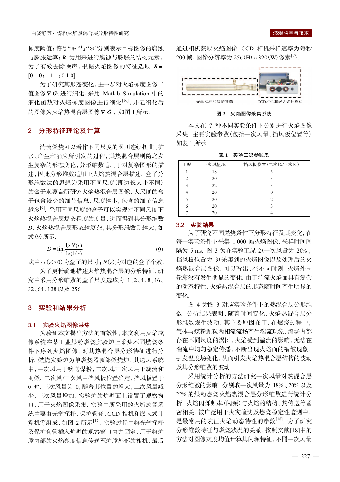梯度阈值: 符号"⊕"与"⊗"分别表示目标图像的腐蚀 与膨胀运算; B 为用来进行腐蚀与膨胀的结构元素, 为了有效去除噪声,根据火焰图像的特征选取 B=  $[0 1 0; 1 1 1; 0 1 0].$ 

为了研究其形态变化,进一步对火焰梯度图像二 值图像VG2进行细化,采用 Matlab Simulation 中的 细化函数对火焰梯度图像进行细化<sup>[16]</sup>,并记细化后 的图像为火焰热混合层图像 V G, 如图 1 所示.

#### 2 分形特征理论及计算

湍流燃烧可以看作不同尺度的涡团连续扭曲、扩 张、产生和消失所引发的过程,其热混合层则随之发 生复杂的形态变化,分形维数适用于对复杂图形的描 述,因此分形维数适用于火焰热混合层描述. 盒子分 形维数法的思想为采用不同尺度(即边长大小不同) 的盒子来覆盖所研究火焰热混合层图像,大尺度的盒 子包含较少的细节信息, 尺度越小, 包含的细节信息 越多<sup>[9]</sup>. 采用不同尺度的盒子可以实现对不同尺度下 火焰热混合层复杂程度的度量,进而得到其分形维数 D, 火焰热混合层形态越复杂, 其分形维数则越大, 如 式(9)所示.

$$
D = \lim_{r \to 0} \frac{\lg N(r)}{\lg(1/r)}
$$
(9)

式中: r(r>0)为盒子的尺寸; N(r)为对应的盒子个数.

为了更精确地描述火焰热混合层的分形特征,研 究中采用分形维数的盒子尺度选取为 1、2、4、8、16、 32、64、128 以及 256.

#### 3 实验和结果分析

#### 3.1 实验火焰图像采集

为验证本文提出方法的有效性,本文利用火焰成 像系统在某工业煤粉燃烧实验炉上采集不同燃烧条 件下序列火焰图像,对其热混合层分形特征进行分 析. 燃烧实验炉为单燃烧器顶部燃烧炉. 其送风系统 中,一次风用于吹送煤粉,二次风/三次风用于旋流和 助燃. 二次风/三次风由挡风板位置确定,挡风板置于 0 时, 三次风量为 0. 随着其位置的增大, 二次风量减 少,三次风量增加. 实验炉的炉壁面上设置了观察窗 口,用于火焰图像采集. 实验中所采用的火焰成像系 统主要由光学探杆,保护管套、CCD相机和嵌入式计 算机等组成,如图 2 所示[17]. 实验过程中将光学探杆 及保护套管插入炉壁的观察窗口内并固定,用于将炉 膛内部的火焰亮度信息传送至炉膛外部的相机,最后 通过相机获取火焰图像. CCD 相机采样速率为每秒 200 帧, 图像分辨率为 256(H) × 320(W) 像素<sup>[17]</sup>.



图 2 火焰图像采集系统

本文在 7 种不同实验条件下分别讲行火焰图像 采集. 主要实验参数(包括一次风量、挡风板位置等) 如表 1 所示.

表 1 实验工况参数表

| 工况             | 一次风量/% | 挡风板位置(二次风/三次风) |
|----------------|--------|----------------|
|                | 18     |                |
| $\overline{c}$ | 20     |                |
| 3              | 22     |                |
| 4              | 20     |                |
| 5              | 20     | 2              |
| 6              | 20     |                |
|                | 20     |                |

#### 3.2 实验结果

为了研究不同燃烧条件下分形特征及其变化,在 每一实验条件下采集 1 000 幅火焰图像,采样时间间 隔为 5 ms. 图 3 为在实验工况 2 (一次风量为 20%, 挡风板位置为 3)采集到的火焰图像以及处理后的火 焰热混合层图像. 可以看出, 在不同时刻, 火焰外围 轮廓没有发生明显的变化. 由于湍流火焰面具有复杂 的动态特性,火焰热混合层的形态随时间产生明显的 变化。

图 4 为图 3 对应实验条件下的热混合层分形维 数. 分析结果表明, 随着时间变化, 火焰热混合层分 形维数发生波动. 其主要原因在于, 在燃烧过程中, 气体与煤粉颗粒两相流流场产生湍流现象,流场内部 存在不同尺度的涡团,火焰受到湍流的影响,无法在 湍流中均匀稳定传播,不断出现火焰面的褶皱现象, 引发温度场变化,从而引发火焰热混合层结构的波动 及其分形维数的波动。

采用统计分析的方法研究一次风量对热混合层 分形维数的影响. 分别取一次风量为 18%、20% 以及 22%的煤粉燃烧火焰热混合层分形维数进行统计分 析. 火焰闪烁频率(闪频)与火焰的结构、热传送等紧 密相关,被广泛用于火灾检测及燃烧稳定性监测中, 是最常用的表征火焰动态特性的参数[18]. 为了研究 分形维数特征与燃烧状况的关系,按照文献[18]中的 方法对图像灰度均值计算其闪频特征,不同一次风量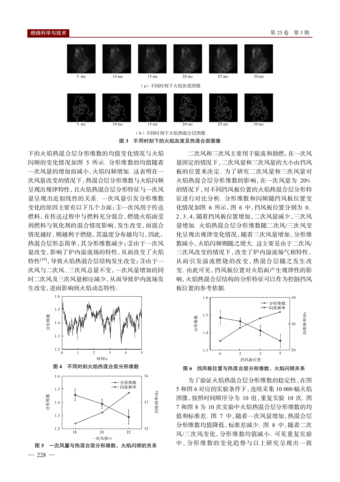

(b) 不同时刻下火焰热混合层图像

图 3 不同时刻下的火焰灰度及热混合层图像

下的火焰热混合层分形维数的均值变化情况与火焰 闪频的变化情况如图 5 所示. 分形维数的均值随着 一次风量的增加而减小,火焰闪频增加. 这表明在一 次风量改变的情况下,热混合层分形维数与火焰闪频 呈现出规律特性,且火焰热混合层分形特征与一次风 量呈现出近似线性的关系. 一次风量引发分形维数 变化的原因主要有以下几个方面:1一次风用于传送 燃料,在传送过程中与燃料充分混合,燃烧火焰面受 到燃料与氧化剂的混合情况影响,发生改变,而混合 情况越好,则越利于燃烧,其温度分布越均匀,因此, 热混合层形态简单,其分形维数减少;②由于一次风 量改变,影响了炉内湍流场的特性,从而改变了火焰 特性<sup>[19]</sup>, 导致火焰热混合层结构发生改变: ③由于一 次风与二次风、三次风总量不变,一次风量增加的同 时二次风及三次风量相应减少,从而导致炉内流场发 生改变,进而影响到火焰动态特性.



二次风和三次风主要用于旋流和助燃,在一次风 量固定的情况下,二次风量和三次风量的大小由挡风 板的位置来决定. 为了研究二次风量和三次风量对 火焰热混合层分形维数的影响,在一次风量为 20% 的情况下,对不同挡风板位置的火焰热混合层分形特 征进行对比分析. 分形维数和闪频随挡风板位置变 化情况如图 6 所示,图 6 中,挡风板位置分别为 0、 2、3、4. 随着挡风板位置增加, 二次风量减少, 三次风 量增加. 火焰热混合层分形维数随二次风/三次风变 化呈现出规律变化情况,随着三次风量增加,分形维 数减小,火焰闪频则随之增大. 这主要是由于二次风/ 三次风改变的情况下,改变了炉内湍流场气相特性, 从而引发湍流燃烧的改变,热混合层随之发生改 变. 由此可见,挡风板位置对火焰面产生规律性的影 响,火焰热混合层结构的分形特征可以作为控制挡风 板位置的参考依据.



图 6 挡风板位置与热混合层分形维数、火焰闪频关系

为了验证火焰热混合层分形维数的稳定性,在图 5 和图 6 对应的实验条件下,连续采集 10 000 幅火焰 图像, 按照时间顺序分为 10 组, 重复实验 10 次, 图 7 和图 8 为 10 次实验中火焰热混合层分形维数的均 值和标准差. 图 7 中, 随着一次风量增加, 热混合层 分形维数均值降低, 标准差减少. 图 8 中, 随着二次 风/三次风变化,分形维数均值减小. 可见重复实验 中,分形维数的变化趋势与以上研究呈现出一致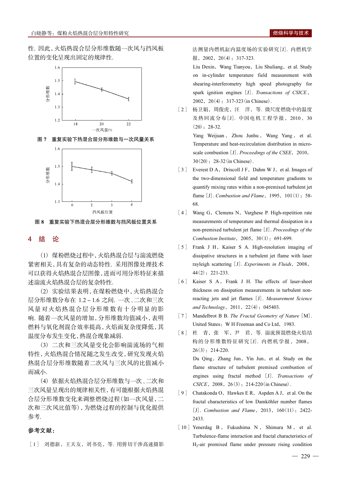性. 因此,火焰热混合层分形维数随一次风与挡风板 位置的变化呈现出固定的规律性.



图 7 重复实验下热混合层分形维数与一次风量关系



重复实验下热混合层分形维数与挡风板位置关系 图 8

#### $\overline{\mathbf{A}}$ 结 论

(1) 煤粉燃烧过程中,火焰热混合层与湍流燃烧 紧密相关,具有复杂的动态特性. 采用图像处理技术 可以获得火焰热混合层图像,进而可用分形特征来描 述湍流火焰热混合层的复杂特性.

(2) 实验结果表明, 在煤粉燃烧中, 火焰热混合 层分形维数分布在 1.2~1.6 之间. 一次、二次和三次 风量对火焰热混合层分形维数有十分明显的影 响. 随着一次风量的增加, 分形维数均值减小, 表明 燃料与氧化剂混合效率提高,火焰面复杂度降低,其 温度分布发生变化,热混合现象减弱.

(3) 二次和三次风量变化会影响湍流场的气相 特性,火焰热混合情况随之发生改变,研究发现火焰 热混合层分形维数随着二次风与三次风的比值减小 而减小.

(4) 依据火焰热混合层分形维数与一次、二次和 三次风量呈现出的规律相关性,有可能根据火焰热混 合层分形维数变化来调整燃烧过程(如一次风量,二 次和三次风比值等),为燃烧过程的控制与优化提供 参考.

#### 参考文献:

[1] 刘德新, 王天友, 刘书亮, 等. 用剪切干涉高速摄影

法测量内燃机缸内温度场的实验研究[J]. 内燃机学 报, 2002, 20(4): 317-323.

Liu Dexin, Wang Tianyou, Liu Shuliang, et al. Study on in-cylinder temperature field measurement with shearing-interferometry high speed photography for spark ignition engines [J]. Transactions of CSICE,  $2002, 20(4)$ : 317-323 (in Chinese).

[2] 杨卫娟, 周俊虎, 汪 洋, 等. 微尺度燃烧中的温度 及热回流分布 [J]. 中国电机工程学报, 2010, 30  $(20): 28-32.$ 

> Yang Weijuan, Zhou Junhu, Wang Yang, et al. Temperature and heat-recirculation distribution in microscale combustion [J]. Proceedings of the CSEE, 2010,  $30(20)$ : 28-32 (in Chinese).

- [3] Everest D A, Driscoll J F, Dahm W J, et al. Images of the two-dimensional field and temperature gradients to quantify mixing rates within a non-premixed turbulent jet flame [J]. Combustion and Flame, 1995, 101(1): 58-68.
- $\lceil 4 \rceil$ Wang G, Clemens N, Varghese P. High-repetition rate measurements of temperature and thermal dissipation in a non-premixed turbulent jet flame [J]. Proceedings of the Combustion Institute, 2005, 30(1): 691-699.
- [5] Frank J H, Kaiser S A. High-resolution imaging of dissipative structures in a turbulent jet flame with laser rayleigh scattering [J]. Experiments in Fluids, 2008,  $44(2)$ : 221-233.
- [6] Kaiser S A, Frank J H. The effects of laser-sheet thickness on dissipation measurements in turbulent nonreacting jets and jet flames [J]. Measurement Science and Technology, 2011, 22(4): 045403.
- [7] Mandelbrot B B. The Fractal Geometry of Nature [M]. United States: W H Freeman and Co Ltd, 1983.
- [8] 杜 青, 张 军, 尹 君, 等. 湍流预混燃烧火焰结 构的分形维数特征研究[J]. 内燃机学报, 2008,  $26(3)$ : 214-220. Du Qing, Zhang Jun, Yin Jun, et al. Study on the flame structure of turbulent premixed combustion of engines using fractal method [J]. Transactions of CSICE, 2008, 26(3): 214-220 (in Chinese).
- $\lceil 9 \rceil$ Chatakonda O, Hawkes E R, Aspden A J, et al. On the fractal characteristics of low Damköhler number flames [J]. Combustion and Flame,  $2013$ ,  $160(11)$ : 2422-2433.
- [10] Yenerdag B, Fukushima N, Shimura M, et al. Turbulence-flame interaction and fractal characteristics of  $H_2$ -air premixed flame under pressure rising condition